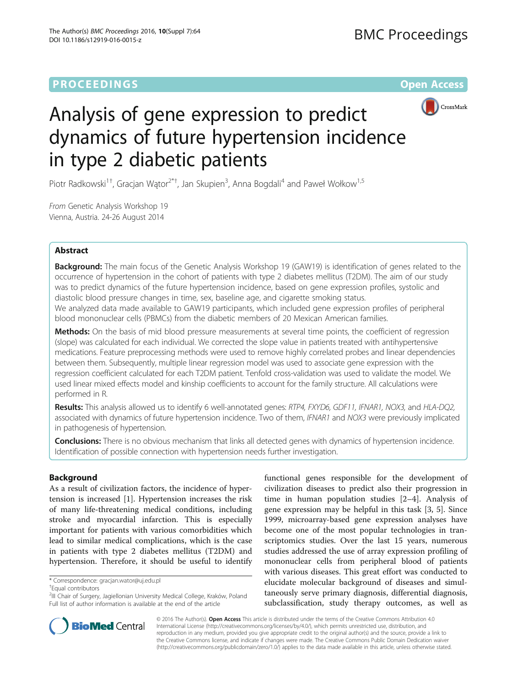## **PROCEEDINGS STATE ACCESS CONSUMING S** Open Access



# Analysis of gene expression to predict dynamics of future hypertension incidence in type 2 diabetic patients

Piotr Radkowski<sup>1+</sup>, Gracjan Wątor<sup>2\*†</sup>, Jan Skupien<sup>3</sup>, Anna Bogdali<sup>4</sup> and Paweł Wołkow<sup>1,5</sup>

From Genetic Analysis Workshop 19 Vienna, Austria. 24-26 August 2014

## Abstract

**Background:** The main focus of the Genetic Analysis Workshop 19 (GAW19) is identification of genes related to the occurrence of hypertension in the cohort of patients with type 2 diabetes mellitus (T2DM). The aim of our study was to predict dynamics of the future hypertension incidence, based on gene expression profiles, systolic and diastolic blood pressure changes in time, sex, baseline age, and cigarette smoking status. We analyzed data made available to GAW19 participants, which included gene expression profiles of peripheral

blood mononuclear cells (PBMCs) from the diabetic members of 20 Mexican American families.

Methods: On the basis of mid blood pressure measurements at several time points, the coefficient of regression (slope) was calculated for each individual. We corrected the slope value in patients treated with antihypertensive medications. Feature preprocessing methods were used to remove highly correlated probes and linear dependencies between them. Subsequently, multiple linear regression model was used to associate gene expression with the regression coefficient calculated for each T2DM patient. Tenfold cross-validation was used to validate the model. We used linear mixed effects model and kinship coefficients to account for the family structure. All calculations were performed in R.

Results: This analysis allowed us to identify 6 well-annotated genes: RTP4, FXYD6, GDF11, IFNAR1, NOX3, and HLA-DQ2, associated with dynamics of future hypertension incidence. Two of them, IFNAR1 and NOX3 were previously implicated in pathogenesis of hypertension.

**Conclusions:** There is no obvious mechanism that links all detected genes with dynamics of hypertension incidence. Identification of possible connection with hypertension needs further investigation.

## Background

As a result of civilization factors, the incidence of hypertension is increased [[1](#page-4-0)]. Hypertension increases the risk of many life-threatening medical conditions, including stroke and myocardial infarction. This is especially important for patients with various comorbidities which lead to similar medical complications, which is the case in patients with type 2 diabetes mellitus (T2DM) and hypertension. Therefore, it should be useful to identify

Equal contributors

functional genes responsible for the development of civilization diseases to predict also their progression in time in human population studies [\[2](#page-4-0)–[4\]](#page-4-0). Analysis of gene expression may be helpful in this task [\[3](#page-4-0), [5\]](#page-4-0). Since 1999, microarray-based gene expression analyses have become one of the most popular technologies in transcriptomics studies. Over the last 15 years, numerous studies addressed the use of array expression profiling of mononuclear cells from peripheral blood of patients with various diseases. This great effort was conducted to elucidate molecular background of diseases and simultaneously serve primary diagnosis, differential diagnosis, subclassification, study therapy outcomes, as well as



© 2016 The Author(s). Open Access This article is distributed under the terms of the Creative Commons Attribution 4.0 International License [\(http://creativecommons.org/licenses/by/4.0/](http://creativecommons.org/licenses/by/4.0/)), which permits unrestricted use, distribution, and reproduction in any medium, provided you give appropriate credit to the original author(s) and the source, provide a link to the Creative Commons license, and indicate if changes were made. The Creative Commons Public Domain Dedication waiver [\(http://creativecommons.org/publicdomain/zero/1.0/](http://creativecommons.org/publicdomain/zero/1.0/)) applies to the data made available in this article, unless otherwise stated.

<sup>\*</sup> Correspondence: [gracjan.wator@uj.edu.pl](mailto:gracjan.wator@uj.edu.pl) †

<sup>&</sup>lt;sup>2</sup>III Chair of Surgery, Jagiellonian University Medical College, Kraków, Poland Full list of author information is available at the end of the article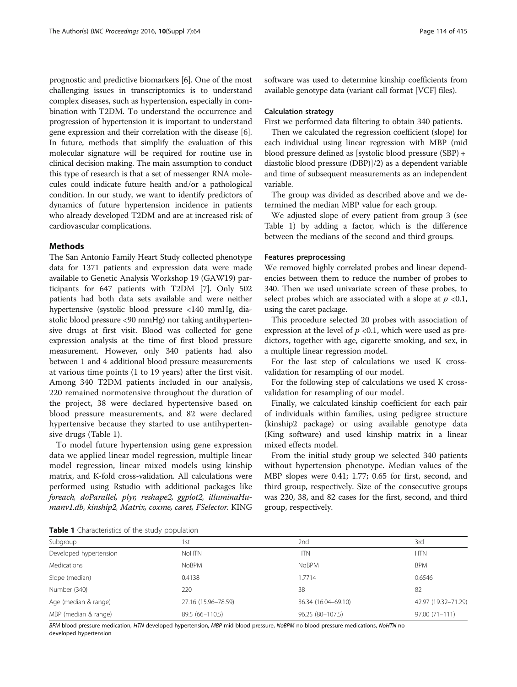<span id="page-1-0"></span>prognostic and predictive biomarkers [\[6\]](#page-4-0). One of the most challenging issues in transcriptomics is to understand complex diseases, such as hypertension, especially in combination with T2DM. To understand the occurrence and progression of hypertension it is important to understand gene expression and their correlation with the disease [[6](#page-4-0)]. In future, methods that simplify the evaluation of this molecular signature will be required for routine use in clinical decision making. The main assumption to conduct this type of research is that a set of messenger RNA molecules could indicate future health and/or a pathological condition. In our study, we want to identify predictors of dynamics of future hypertension incidence in patients who already developed T2DM and are at increased risk of cardiovascular complications.

## Methods

The San Antonio Family Heart Study collected phenotype data for 1371 patients and expression data were made available to Genetic Analysis Workshop 19 (GAW19) participants for 647 patients with T2DM [[7](#page-4-0)]. Only 502 patients had both data sets available and were neither hypertensive (systolic blood pressure <140 mmHg, diastolic blood pressure <90 mmHg) nor taking antihypertensive drugs at first visit. Blood was collected for gene expression analysis at the time of first blood pressure measurement. However, only 340 patients had also between 1 and 4 additional blood pressure measurements at various time points (1 to 19 years) after the first visit. Among 340 T2DM patients included in our analysis, 220 remained normotensive throughout the duration of the project, 38 were declared hypertensive based on blood pressure measurements, and 82 were declared hypertensive because they started to use antihypertensive drugs (Table 1).

To model future hypertension using gene expression data we applied linear model regression, multiple linear model regression, linear mixed models using kinship matrix, and K-fold cross-validation. All calculations were performed using Rstudio with additional packages like foreach, doParallel, plyr, reshape2, ggplot2, illuminaHumanv1.db, kinship2, Matrix, coxme, caret, FSelector. KING software was used to determine kinship coefficients from available genotype data (variant call format [VCF] files).

#### Calculation strategy

First we performed data filtering to obtain 340 patients.

Then we calculated the regression coefficient (slope) for each individual using linear regression with MBP (mid blood pressure defined as [systolic blood pressure (SBP) + diastolic blood pressure (DBP)]/2) as a dependent variable and time of subsequent measurements as an independent variable.

The group was divided as described above and we determined the median MBP value for each group.

We adjusted slope of every patient from group 3 (see Table 1) by adding a factor, which is the difference between the medians of the second and third groups.

#### Features preprocessing

We removed highly correlated probes and linear dependencies between them to reduce the number of probes to 340. Then we used univariate screen of these probes, to select probes which are associated with a slope at  $p \le 0.1$ , using the caret package.

This procedure selected 20 probes with association of expression at the level of  $p \le 0.1$ , which were used as predictors, together with age, cigarette smoking, and sex, in a multiple linear regression model.

For the last step of calculations we used K crossvalidation for resampling of our model.

For the following step of calculations we used K crossvalidation for resampling of our model.

Finally, we calculated kinship coefficient for each pair of individuals within families, using pedigree structure (kinship2 package) or using available genotype data (King software) and used kinship matrix in a linear mixed effects model.

From the initial study group we selected 340 patients without hypertension phenotype. Median values of the MBP slopes were 0.41; 1.77; 0.65 for first, second, and third group, respectively. Size of the consecutive groups was 220, 38, and 82 cases for the first, second, and third group, respectively.

Table 1 Characteristics of the study population

| Subgroup               | 1st                 | 2nd                 | 3rd                 |  |  |
|------------------------|---------------------|---------------------|---------------------|--|--|
| Developed hypertension | <b>NoHTN</b>        | <b>HTN</b>          | <b>HTN</b>          |  |  |
| Medications            | <b>NoBPM</b>        | <b>NoBPM</b>        | <b>BPM</b>          |  |  |
| Slope (median)         | 0.4138              | 1.7714              | 0.6546              |  |  |
| Number (340)           | 220                 | 38                  | 82                  |  |  |
| Age (median & range)   | 27.16 (15.96-78.59) | 36.34 (16.04-69.10) | 42.97 (19.32-71.29) |  |  |
| MBP (median & range)   | 89.5 (66-110.5)     | 96.25 (80-107.5)    | $97.00(71 - 111)$   |  |  |
|                        |                     |                     |                     |  |  |

BPM blood pressure medication, HTN developed hypertension, MBP mid blood pressure, NoBPM no blood pressure medications, NoHTN no developed hypertension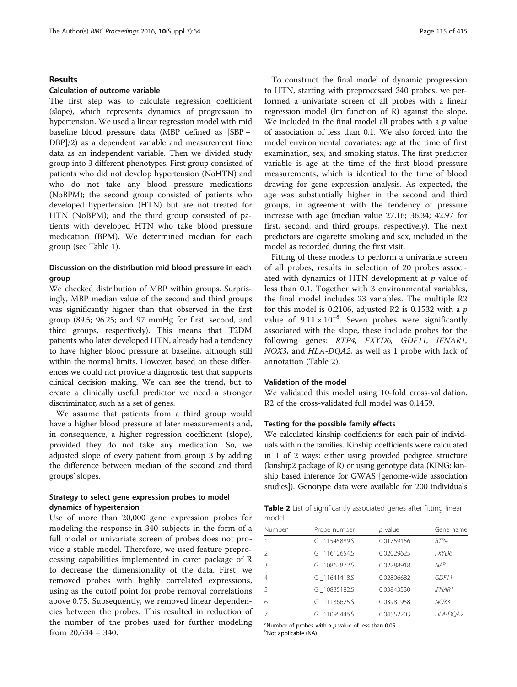#### Results

## Calculation of outcome variable

The first step was to calculate regression coefficient (slope), which represents dynamics of progression to hypertension. We used a linear regression model with mid baseline blood pressure data (MBP defined as [SBP + DBP]/2) as a dependent variable and measurement time data as an independent variable. Then we divided study group into 3 different phenotypes. First group consisted of patients who did not develop hypertension (NoHTN) and who do not take any blood pressure medications (NoBPM); the second group consisted of patients who developed hypertension (HTN) but are not treated for HTN (NoBPM); and the third group consisted of patients with developed HTN who take blood pressure medication (BPM). We determined median for each group (see Table [1](#page-1-0)).

## Discussion on the distribution mid blood pressure in each group

We checked distribution of MBP within groups. Surprisingly, MBP median value of the second and third groups was significantly higher than that observed in the first group (89.5; 96.25; and 97 mmHg for first, second, and third groups, respectively). This means that T2DM patients who later developed HTN, already had a tendency to have higher blood pressure at baseline, although still within the normal limits. However, based on these differences we could not provide a diagnostic test that supports clinical decision making. We can see the trend, but to create a clinically useful predictor we need a stronger discriminator, such as a set of genes.

We assume that patients from a third group would have a higher blood pressure at later measurements and, in consequence, a higher regression coefficient (slope), provided they do not take any medication. So, we adjusted slope of every patient from group 3 by adding the difference between median of the second and third groups' slopes.

## Strategy to select gene expression probes to model dynamics of hypertension

Use of more than 20,000 gene expression probes for modeling the response in 340 subjects in the form of a full model or univariate screen of probes does not provide a stable model. Therefore, we used feature preprocessing capabilities implemented in caret package of R to decrease the dimensionality of the data. First, we removed probes with highly correlated expressions, using as the cutoff point for probe removal correlations above 0.75. Subsequently, we removed linear dependencies between the probes. This resulted in reduction of the number of the probes used for further modeling from 20,634 – 340.

To construct the final model of dynamic progression to HTN, starting with preprocessed 340 probes, we performed a univariate screen of all probes with a linear regression model (lm function of R) against the slope. We included in the final model all probes with a  $p$  value of association of less than 0.1. We also forced into the model environmental covariates: age at the time of first examination, sex, and smoking status. The first predictor variable is age at the time of the first blood pressure measurements, which is identical to the time of blood drawing for gene expression analysis. As expected, the age was substantially higher in the second and third groups, in agreement with the tendency of pressure increase with age (median value 27.16; 36.34; 42.97 for first, second, and third groups, respectively). The next predictors are cigarette smoking and sex, included in the model as recorded during the first visit.

Fitting of these models to perform a univariate screen of all probes, results in selection of 20 probes associated with dynamics of HTN development at  $p$  value of less than 0.1. Together with 3 environmental variables, the final model includes 23 variables. The multiple R2 for this model is 0.2106, adjusted R2 is 0.1532 with a  $p$ value of  $9.11 \times 10^{-8}$ . Seven probes were significantly associated with the slope, these include probes for the following genes: RTP4, FXYD6, GDF11, IFNAR1, NOX3, and HLA-DQA2, as well as 1 probe with lack of annotation (Table 2).

#### Validation of the model

We validated this model using 10-fold cross-validation. R2 of the cross-validated full model was 0.1459.

#### Testing for the possible family effects

We calculated kinship coefficients for each pair of individuals within the families. Kinship coefficients were calculated in 1 of 2 ways: either using provided pedigree structure (kinship2 package of R) or using genotype data (KING: kinship based inference for GWAS [genome-wide association studies]). Genotype data were available for 200 individuals

| <b>Table 2</b> List of significantly associated genes after fitting linear |  |  |  |
|----------------------------------------------------------------------------|--|--|--|
| model                                                                      |  |  |  |

| Number <sup>a</sup> | Probe number  | p value    | Gene name       |
|---------------------|---------------|------------|-----------------|
|                     | GI 11545889.S | 0.01759156 | RTP4            |
|                     | GI 11612654.S | 0.02029625 | <b>FXYD6</b>    |
| ζ                   | GI 10863872.S | 0.02288918 | NA <sup>b</sup> |
| 4                   | GI 11641418.S | 0.02806682 | GDF11           |
| 5                   | GI 10835182.S | 0.03843530 | <b>IFNAR1</b>   |
| 6                   | GI 11136625.S | 0.03981958 | NOX3            |
|                     | GI 11095446.S | 0.04552203 | HLA-DOA2        |

<sup>a</sup>Number of probes with a p value of less than 0.05<sup>b</sup>Not applicable (NA)

<sup>b</sup>Not applicable (NA)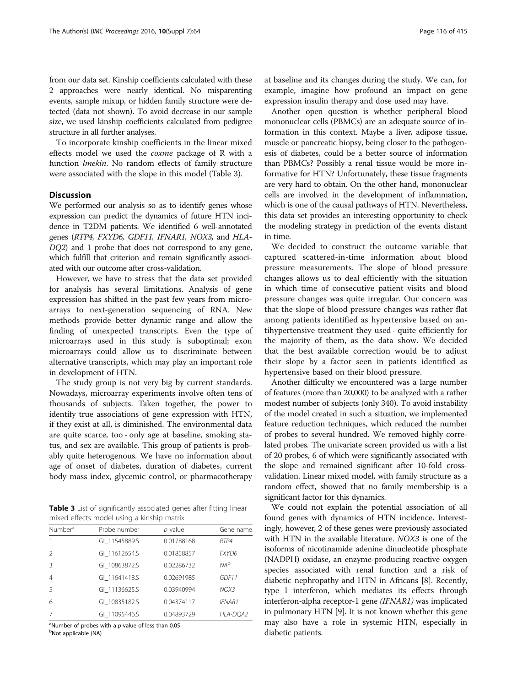from our data set. Kinship coefficients calculated with these 2 approaches were nearly identical. No misparenting events, sample mixup, or hidden family structure were detected (data not shown). To avoid decrease in our sample size, we used kinship coefficients calculated from pedigree structure in all further analyses.

To incorporate kinship coefficients in the linear mixed effects model we used the coxme package of R with a function lmekin. No random effects of family structure were associated with the slope in this model (Table 3).

### **Discussion**

We performed our analysis so as to identify genes whose expression can predict the dynamics of future HTN incidence in T2DM patients. We identified 6 well-annotated genes (RTP4, FXYD6, GDF11, IFNAR1, NOX3, and HLA-DQ2) and 1 probe that does not correspond to any gene, which fulfill that criterion and remain significantly associated with our outcome after cross-validation.

However, we have to stress that the data set provided for analysis has several limitations. Analysis of gene expression has shifted in the past few years from microarrays to next-generation sequencing of RNA. New methods provide better dynamic range and allow the finding of unexpected transcripts. Even the type of microarrays used in this study is suboptimal; exon microarrays could allow us to discriminate between alternative transcripts, which may play an important role in development of HTN.

The study group is not very big by current standards. Nowadays, microarray experiments involve often tens of thousands of subjects. Taken together, the power to identify true associations of gene expression with HTN, if they exist at all, is diminished. The environmental data are quite scarce, too - only age at baseline, smoking status, and sex are available. This group of patients is probably quite heterogenous. We have no information about age of onset of diabetes, duration of diabetes, current body mass index, glycemic control, or pharmacotherapy

Table 3 List of significantly associated genes after fitting linear mixed effects model using a kinship matrix

| Number <sup>a</sup> | Probe number  | p value    | Gene name       |
|---------------------|---------------|------------|-----------------|
|                     | GI 11545889.S | 0.01788168 | RTP4            |
| 2                   | GI 11612654.S | 0.01858857 | <b>FXYD6</b>    |
| Β                   | GI 10863872.S | 0.02286732 | NA <sup>b</sup> |
| $\overline{4}$      | GI 11641418.S | 0.02691985 | GDF11           |
| 5                   | GI 11136625.S | 0.03940994 | NOX3            |
| 6                   | GI 10835182.S | 0.04374117 | <b>IFNAR1</b>   |
|                     | GI 11095446.S | 0.04893729 | HLA-DOA2        |

<sup>a</sup>Number of probes with a p value of less than 0.05<br><sup>b</sup>Not applicable (NA)

<sup>b</sup>Not applicable (NA)

Another open question is whether peripheral blood mononuclear cells (PBMCs) are an adequate source of information in this context. Maybe a liver, adipose tissue, muscle or pancreatic biopsy, being closer to the pathogenesis of diabetes, could be a better source of information than PBMCs? Possibly a renal tissue would be more informative for HTN? Unfortunately, these tissue fragments are very hard to obtain. On the other hand, mononuclear cells are involved in the development of inflammation, which is one of the causal pathways of HTN. Nevertheless, this data set provides an interesting opportunity to check the modeling strategy in prediction of the events distant in time.

We decided to construct the outcome variable that captured scattered-in-time information about blood pressure measurements. The slope of blood pressure changes allows us to deal efficiently with the situation in which time of consecutive patient visits and blood pressure changes was quite irregular. Our concern was that the slope of blood pressure changes was rather flat among patients identified as hypertensive based on antihypertensive treatment they used - quite efficiently for the majority of them, as the data show. We decided that the best available correction would be to adjust their slope by a factor seen in patients identified as hypertensive based on their blood pressure.

Another difficulty we encountered was a large number of features (more than 20,000) to be analyzed with a rather modest number of subjects (only 340). To avoid instability of the model created in such a situation, we implemented feature reduction techniques, which reduced the number of probes to several hundred. We removed highly correlated probes. The univariate screen provided us with a list of 20 probes, 6 of which were significantly associated with the slope and remained significant after 10-fold crossvalidation. Linear mixed model, with family structure as a random effect, showed that no family membership is a significant factor for this dynamics.

We could not explain the potential association of all found genes with dynamics of HTN incidence. Interestingly, however, 2 of these genes were previously associated with HTN in the available literature. NOX3 is one of the isoforms of nicotinamide adenine dinucleotide phosphate (NADPH) oxidase, an enzyme-producing reactive oxygen species associated with renal function and a risk of diabetic nephropathy and HTN in Africans [[8\]](#page-4-0). Recently, type I interferon, which mediates its effects through interferon-alpha receptor-1 gene (IFNAR1) was implicated in pulmonary HTN [\[9](#page-4-0)]. It is not known whether this gene may also have a role in systemic HTN, especially in diabetic patients.